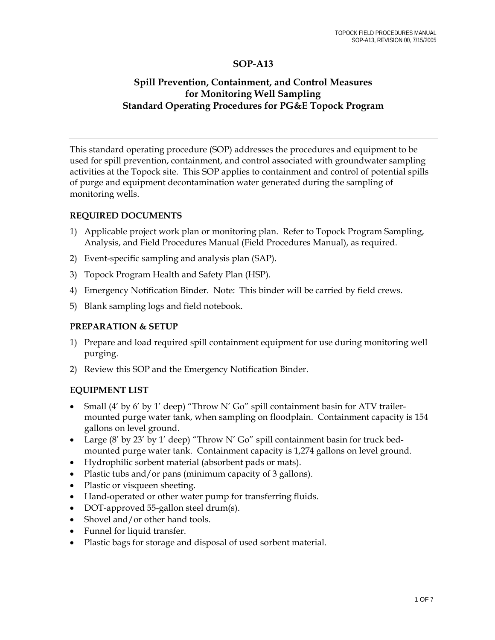# **SOP-A13**

# **Spill Prevention, Containment, and Control Measures for Monitoring Well Sampling Standard Operating Procedures for PG&E Topock Program**

This standard operating procedure (SOP) addresses the procedures and equipment to be used for spill prevention, containment, and control associated with groundwater sampling activities at the Topock site. This SOP applies to containment and control of potential spills of purge and equipment decontamination water generated during the sampling of monitoring wells.

### **REQUIRED DOCUMENTS**

- 1) Applicable project work plan or monitoring plan. Refer to Topock Program Sampling, Analysis, and Field Procedures Manual (Field Procedures Manual), as required.
- 2) Event-specific sampling and analysis plan (SAP).
- 3) Topock Program Health and Safety Plan (HSP).
- 4) Emergency Notification Binder. Note: This binder will be carried by field crews.
- 5) Blank sampling logs and field notebook.

### **PREPARATION & SETUP**

- 1) Prepare and load required spill containment equipment for use during monitoring well purging.
- 2) Review this SOP and the Emergency Notification Binder.

### **EQUIPMENT LIST**

- Small (4' by 6' by 1' deep) "Throw N' Go" spill containment basin for ATV trailermounted purge water tank, when sampling on floodplain. Containment capacity is 154 gallons on level ground.
- Large (8' by 23' by 1' deep) "Throw N' Go" spill containment basin for truck bedmounted purge water tank. Containment capacity is 1,274 gallons on level ground.
- Hydrophilic sorbent material (absorbent pads or mats).
- Plastic tubs and/or pans (minimum capacity of 3 gallons).
- Plastic or visqueen sheeting.
- Hand-operated or other water pump for transferring fluids.
- DOT-approved 55-gallon steel drum(s).
- Shovel and/or other hand tools.
- Funnel for liquid transfer.
- Plastic bags for storage and disposal of used sorbent material.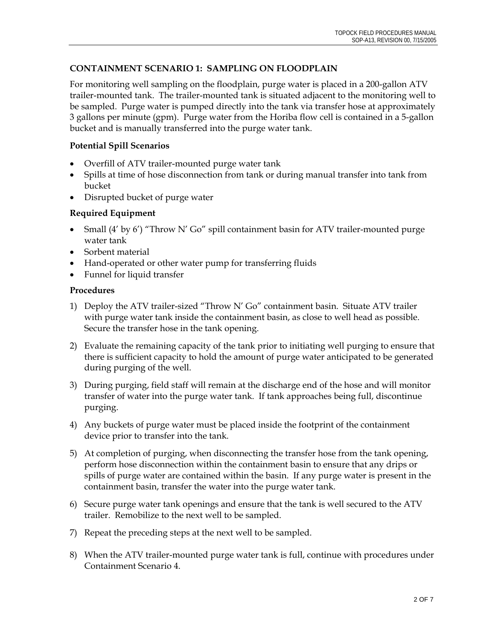# **CONTAINMENT SCENARIO 1: SAMPLING ON FLOODPLAIN**

For monitoring well sampling on the floodplain, purge water is placed in a 200-gallon ATV trailer-mounted tank. The trailer-mounted tank is situated adjacent to the monitoring well to be sampled. Purge water is pumped directly into the tank via transfer hose at approximately 3 gallons per minute (gpm). Purge water from the Horiba flow cell is contained in a 5-gallon bucket and is manually transferred into the purge water tank.

## **Potential Spill Scenarios**

- Overfill of ATV trailer-mounted purge water tank
- Spills at time of hose disconnection from tank or during manual transfer into tank from bucket
- Disrupted bucket of purge water

## **Required Equipment**

- Small (4' by 6') "Throw N' Go" spill containment basin for ATV trailer-mounted purge water tank
- Sorbent material
- Hand-operated or other water pump for transferring fluids
- Funnel for liquid transfer

- 1) Deploy the ATV trailer-sized "Throw N' Go" containment basin. Situate ATV trailer with purge water tank inside the containment basin, as close to well head as possible. Secure the transfer hose in the tank opening.
- 2) Evaluate the remaining capacity of the tank prior to initiating well purging to ensure that there is sufficient capacity to hold the amount of purge water anticipated to be generated during purging of the well.
- 3) During purging, field staff will remain at the discharge end of the hose and will monitor transfer of water into the purge water tank. If tank approaches being full, discontinue purging.
- 4) Any buckets of purge water must be placed inside the footprint of the containment device prior to transfer into the tank.
- 5) At completion of purging, when disconnecting the transfer hose from the tank opening, perform hose disconnection within the containment basin to ensure that any drips or spills of purge water are contained within the basin. If any purge water is present in the containment basin, transfer the water into the purge water tank.
- 6) Secure purge water tank openings and ensure that the tank is well secured to the ATV trailer. Remobilize to the next well to be sampled.
- 7) Repeat the preceding steps at the next well to be sampled.
- 8) When the ATV trailer-mounted purge water tank is full, continue with procedures under Containment Scenario 4.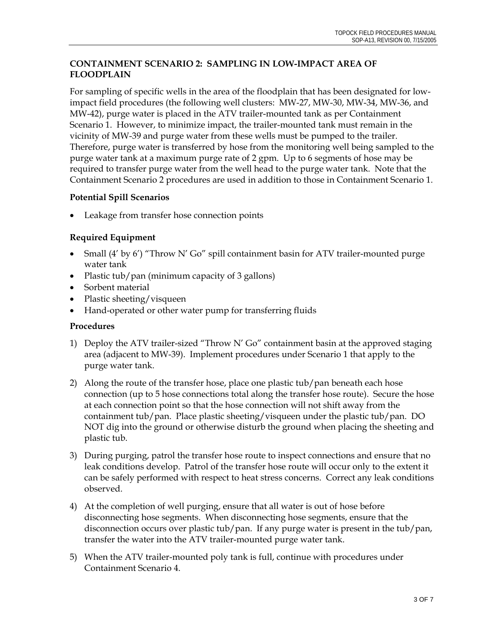# **CONTAINMENT SCENARIO 2: SAMPLING IN LOW-IMPACT AREA OF FLOODPLAIN**

For sampling of specific wells in the area of the floodplain that has been designated for lowimpact field procedures (the following well clusters: MW-27, MW-30, MW-34, MW-36, and MW-42), purge water is placed in the ATV trailer-mounted tank as per Containment Scenario 1. However, to minimize impact, the trailer-mounted tank must remain in the vicinity of MW-39 and purge water from these wells must be pumped to the trailer. Therefore, purge water is transferred by hose from the monitoring well being sampled to the purge water tank at a maximum purge rate of 2 gpm. Up to 6 segments of hose may be required to transfer purge water from the well head to the purge water tank. Note that the Containment Scenario 2 procedures are used in addition to those in Containment Scenario 1.

# **Potential Spill Scenarios**

Leakage from transfer hose connection points

# **Required Equipment**

- Small (4' by 6') "Throw N' Go" spill containment basin for ATV trailer-mounted purge water tank
- Plastic tub/pan (minimum capacity of 3 gallons)
- Sorbent material
- Plastic sheeting/visqueen
- Hand-operated or other water pump for transferring fluids

- 1) Deploy the ATV trailer-sized "Throw N' Go" containment basin at the approved staging area (adjacent to MW-39). Implement procedures under Scenario 1 that apply to the purge water tank.
- 2) Along the route of the transfer hose, place one plastic tub/pan beneath each hose connection (up to 5 hose connections total along the transfer hose route). Secure the hose at each connection point so that the hose connection will not shift away from the containment tub/pan. Place plastic sheeting/visqueen under the plastic tub/pan. DO NOT dig into the ground or otherwise disturb the ground when placing the sheeting and plastic tub.
- 3) During purging, patrol the transfer hose route to inspect connections and ensure that no leak conditions develop. Patrol of the transfer hose route will occur only to the extent it can be safely performed with respect to heat stress concerns. Correct any leak conditions observed.
- 4) At the completion of well purging, ensure that all water is out of hose before disconnecting hose segments. When disconnecting hose segments, ensure that the disconnection occurs over plastic tub/pan. If any purge water is present in the tub/pan, transfer the water into the ATV trailer-mounted purge water tank.
- 5) When the ATV trailer-mounted poly tank is full, continue with procedures under Containment Scenario 4.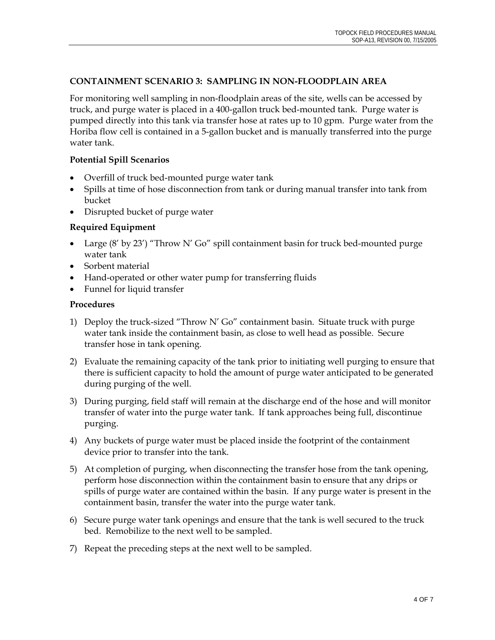### **CONTAINMENT SCENARIO 3: SAMPLING IN NON-FLOODPLAIN AREA**

For monitoring well sampling in non-floodplain areas of the site, wells can be accessed by truck, and purge water is placed in a 400-gallon truck bed-mounted tank. Purge water is pumped directly into this tank via transfer hose at rates up to 10 gpm. Purge water from the Horiba flow cell is contained in a 5-gallon bucket and is manually transferred into the purge water tank.

## **Potential Spill Scenarios**

- Overfill of truck bed-mounted purge water tank
- Spills at time of hose disconnection from tank or during manual transfer into tank from bucket
- Disrupted bucket of purge water

## **Required Equipment**

- Large (8' by 23') "Throw N' Go" spill containment basin for truck bed-mounted purge water tank
- Sorbent material
- Hand-operated or other water pump for transferring fluids
- Funnel for liquid transfer

- 1) Deploy the truck-sized "Throw N' Go" containment basin. Situate truck with purge water tank inside the containment basin, as close to well head as possible. Secure transfer hose in tank opening.
- 2) Evaluate the remaining capacity of the tank prior to initiating well purging to ensure that there is sufficient capacity to hold the amount of purge water anticipated to be generated during purging of the well.
- 3) During purging, field staff will remain at the discharge end of the hose and will monitor transfer of water into the purge water tank. If tank approaches being full, discontinue purging.
- 4) Any buckets of purge water must be placed inside the footprint of the containment device prior to transfer into the tank.
- 5) At completion of purging, when disconnecting the transfer hose from the tank opening, perform hose disconnection within the containment basin to ensure that any drips or spills of purge water are contained within the basin. If any purge water is present in the containment basin, transfer the water into the purge water tank.
- 6) Secure purge water tank openings and ensure that the tank is well secured to the truck bed. Remobilize to the next well to be sampled.
- 7) Repeat the preceding steps at the next well to be sampled.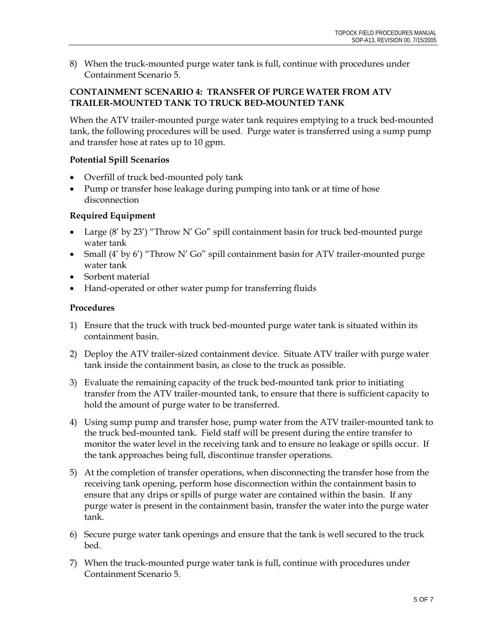8) When the truck-mounted purge water tank is full, continue with procedures under Containment Scenario 5.

### **CONTAINMENT SCENARIO 4: TRANSFER OF PURGE WATER FROM ATV TRAILER-MOUNTED TANK TO TRUCK BED-MOUNTED TANK**

When the ATV trailer-mounted purge water tank requires emptying to a truck bed-mounted tank, the following procedures will be used. Purge water is transferred using a sump pump and transfer hose at rates up to 10 gpm.

## **Potential Spill Scenarios**

- Overfill of truck bed-mounted poly tank
- Pump or transfer hose leakage during pumping into tank or at time of hose disconnection

## **Required Equipment**

- Large (8' by 23') "Throw N' Go" spill containment basin for truck bed-mounted purge water tank
- Small (4' by 6') "Throw N' Go" spill containment basin for ATV trailer-mounted purge water tank
- Sorbent material
- Hand-operated or other water pump for transferring fluids

- 1) Ensure that the truck with truck bed-mounted purge water tank is situated within its containment basin.
- 2) Deploy the ATV trailer-sized containment device. Situate ATV trailer with purge water tank inside the containment basin, as close to the truck as possible.
- 3) Evaluate the remaining capacity of the truck bed-mounted tank prior to initiating transfer from the ATV trailer-mounted tank, to ensure that there is sufficient capacity to hold the amount of purge water to be transferred.
- 4) Using sump pump and transfer hose, pump water from the ATV trailer-mounted tank to the truck bed-mounted tank. Field staff will be present during the entire transfer to monitor the water level in the receiving tank and to ensure no leakage or spills occur. If the tank approaches being full, discontinue transfer operations.
- 5) At the completion of transfer operations, when disconnecting the transfer hose from the receiving tank opening, perform hose disconnection within the containment basin to ensure that any drips or spills of purge water are contained within the basin. If any purge water is present in the containment basin, transfer the water into the purge water tank.
- 6) Secure purge water tank openings and ensure that the tank is well secured to the truck bed.
- 7) When the truck-mounted purge water tank is full, continue with procedures under Containment Scenario 5.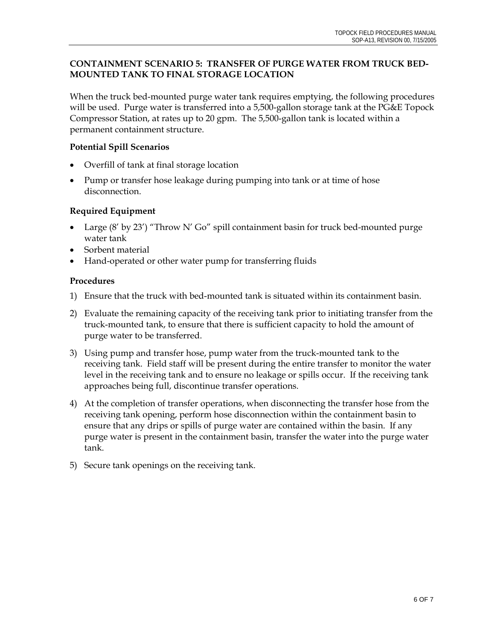## **CONTAINMENT SCENARIO 5: TRANSFER OF PURGE WATER FROM TRUCK BED-MOUNTED TANK TO FINAL STORAGE LOCATION**

When the truck bed-mounted purge water tank requires emptying, the following procedures will be used. Purge water is transferred into a 5,500-gallon storage tank at the PG&E Topock Compressor Station, at rates up to 20 gpm. The 5,500-gallon tank is located within a permanent containment structure.

## **Potential Spill Scenarios**

- Overfill of tank at final storage location
- Pump or transfer hose leakage during pumping into tank or at time of hose disconnection.

### **Required Equipment**

- Large (8' by 23') "Throw N' Go" spill containment basin for truck bed-mounted purge water tank
- Sorbent material
- Hand-operated or other water pump for transferring fluids

- 1) Ensure that the truck with bed-mounted tank is situated within its containment basin.
- 2) Evaluate the remaining capacity of the receiving tank prior to initiating transfer from the truck-mounted tank, to ensure that there is sufficient capacity to hold the amount of purge water to be transferred.
- 3) Using pump and transfer hose, pump water from the truck-mounted tank to the receiving tank. Field staff will be present during the entire transfer to monitor the water level in the receiving tank and to ensure no leakage or spills occur. If the receiving tank approaches being full, discontinue transfer operations.
- 4) At the completion of transfer operations, when disconnecting the transfer hose from the receiving tank opening, perform hose disconnection within the containment basin to ensure that any drips or spills of purge water are contained within the basin. If any purge water is present in the containment basin, transfer the water into the purge water tank.
- 5) Secure tank openings on the receiving tank.